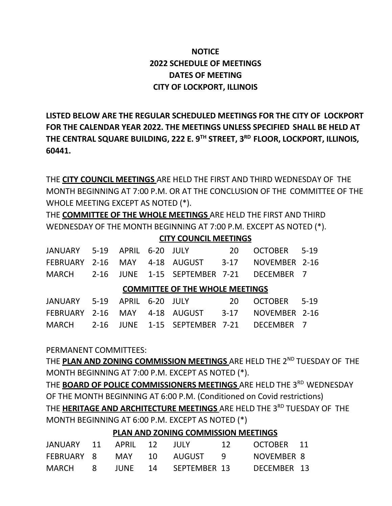## **NOTICE 2022 SCHEDULE OF MEETINGS DATES OF MEETING CITY OF LOCKPORT, ILLINOIS**

**LISTED BELOW ARE THE REGULAR SCHEDULED MEETINGS FOR THE CITY OF LOCKPORT FOR THE CALENDAR YEAR 2022. THE MEETINGS UNLESS SPECIFIED SHALL BE HELD AT THE CENTRAL SQUARE BUILDING, 222 E. 9 TH STREET, 3 RD FLOOR, LOCKPORT, ILLINOIS, 60441.**

THE **CITY COUNCIL MEETINGS** ARE HELD THE FIRST AND THIRD WEDNESDAY OF THE MONTH BEGINNING AT 7:00 P.M. OR AT THE CONCLUSION OF THE COMMITTEE OF THE WHOLE MEETING EXCEPT AS NOTED (\*).

THE **COMMITTEE OF THE WHOLE MEETINGS** ARE HELD THE FIRST AND THIRD WEDNESDAY OF THE MONTH BEGINNING AT 7:00 P.M. EXCEPT AS NOTED (\*).

## **CITY COUNCIL MEETINGS**

|                                        |  |  |  | JANUARY 5-19 APRIL 6-20 JULY                     | -20 | OCTOBER 5-19  |  |  |  |
|----------------------------------------|--|--|--|--------------------------------------------------|-----|---------------|--|--|--|
|                                        |  |  |  | FEBRUARY 2-16 MAY 4-18 AUGUST 3-17               |     | NOVEMBER 2-16 |  |  |  |
|                                        |  |  |  | MARCH 2-16 JUNE 1-15 SEPTEMBER 7-21 DECEMBER 7   |     |               |  |  |  |
| <b>COMMITTEE OF THE WHOLE MEETINGS</b> |  |  |  |                                                  |     |               |  |  |  |
|                                        |  |  |  | JANUARY 5-19 APRIL 6-20 JULY                     | -20 | OCTOBER 5-19  |  |  |  |
|                                        |  |  |  | FEBRUARY 2-16 MAY 4-18 AUGUST 3-17 NOVEMBER 2-16 |     |               |  |  |  |
|                                        |  |  |  | MARCH 2-16 JUNE 1-15 SEPTEMBER 7-21              |     | DECEMBER 7    |  |  |  |

PERMANENT COMMITTEES:

THE **PLAN AND ZONING COMMISSION MEETINGS** ARE HELD THE 2 ND TUESDAY OF THE MONTH BEGINNING AT 7:00 P.M. EXCEPT AS NOTED (\*).

THE **BOARD OF POLICE COMMISSIONERS MEETINGS** ARE HELD THE 3 RD WEDNESDAY OF THE MONTH BEGINNING AT 6:00 P.M. (Conditioned on Covid restrictions) THE **HERITAGE AND ARCHITECTURE MEETINGS** ARE HELD THE 3 RD TUESDAY OF THE MONTH BEGINNING AT 6:00 P.M. EXCEPT AS NOTED (\*)

**PLAN AND ZONING COMMISSION MEETINGS**

| JANUARY 11 APRIL 12 |  | - JULY -             | -12 - | OCTOBER 11  |  |
|---------------------|--|----------------------|-------|-------------|--|
| FEBRUARY 8          |  | MAY 10 AUGUST 9      |       | NOVEMBER 8  |  |
| MARCH 8             |  | JUNE 14 SEPTEMBER 13 |       | DECEMBER 13 |  |